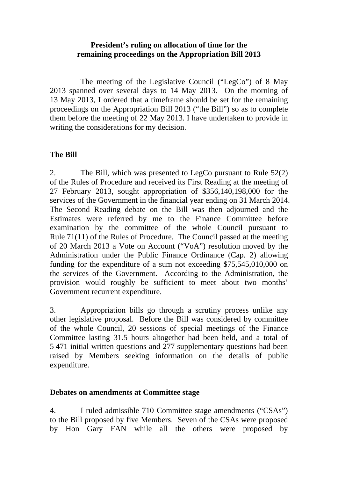## **President's ruling on allocation of time for the remaining proceedings on the Appropriation Bill 2013**

 The meeting of the Legislative Council ("LegCo") of 8 May 2013 spanned over several days to 14 May 2013. On the morning of 13 May 2013, I ordered that a timeframe should be set for the remaining proceedings on the Appropriation Bill 2013 ("the Bill") so as to complete them before the meeting of 22 May 2013. I have undertaken to provide in writing the considerations for my decision.

## **The Bill**

2. The Bill, which was presented to LegCo pursuant to Rule 52(2) of the Rules of Procedure and received its First Reading at the meeting of 27 February 2013, sought appropriation of \$356,140,198,000 for the services of the Government in the financial year ending on 31 March 2014. The Second Reading debate on the Bill was then adjourned and the Estimates were referred by me to the Finance Committee before examination by the committee of the whole Council pursuant to Rule 71(11) of the Rules of Procedure. The Council passed at the meeting of 20 March 2013 a Vote on Account ("VoA") resolution moved by the Administration under the Public Finance Ordinance (Cap. 2) allowing funding for the expenditure of a sum not exceeding \$75,545,010,000 on the services of the Government. According to the Administration, the provision would roughly be sufficient to meet about two months' Government recurrent expenditure.

3. Appropriation bills go through a scrutiny process unlike any other legislative proposal. Before the Bill was considered by committee of the whole Council, 20 sessions of special meetings of the Finance Committee lasting 31.5 hours altogether had been held, and a total of 5 471 initial written questions and 277 supplementary questions had been raised by Members seeking information on the details of public expenditure.

## **Debates on amendments at Committee stage**

4. I ruled admissible 710 Committee stage amendments ("CSAs") to the Bill proposed by five Members. Seven of the CSAs were proposed by Hon Gary FAN while all the others were proposed by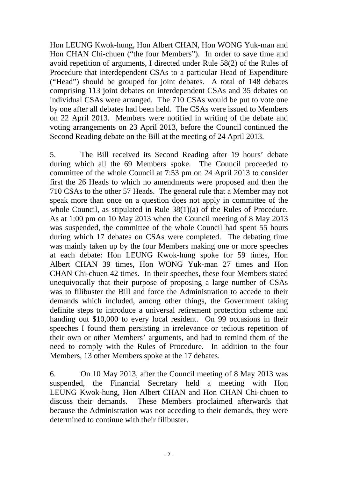Hon LEUNG Kwok-hung, Hon Albert CHAN, Hon WONG Yuk-man and Hon CHAN Chi-chuen ("the four Members"). In order to save time and avoid repetition of arguments, I directed under Rule 58(2) of the Rules of Procedure that interdependent CSAs to a particular Head of Expenditure ("Head") should be grouped for joint debates. A total of 148 debates comprising 113 joint debates on interdependent CSAs and 35 debates on individual CSAs were arranged. The 710 CSAs would be put to vote one by one after all debates had been held. The CSAs were issued to Members on 22 April 2013. Members were notified in writing of the debate and voting arrangements on 23 April 2013, before the Council continued the Second Reading debate on the Bill at the meeting of 24 April 2013.

5. The Bill received its Second Reading after 19 hours' debate during which all the 69 Members spoke. The Council proceeded to committee of the whole Council at 7:53 pm on 24 April 2013 to consider first the 26 Heads to which no amendments were proposed and then the 710 CSAs to the other 57 Heads. The general rule that a Member may not speak more than once on a question does not apply in committee of the whole Council, as stipulated in Rule 38(1)(a) of the Rules of Procedure. As at 1:00 pm on 10 May 2013 when the Council meeting of 8 May 2013 was suspended, the committee of the whole Council had spent 55 hours during which 17 debates on CSAs were completed. The debating time was mainly taken up by the four Members making one or more speeches at each debate: Hon LEUNG Kwok-hung spoke for 59 times, Hon Albert CHAN 39 times, Hon WONG Yuk-man 27 times and Hon CHAN Chi-chuen 42 times. In their speeches, these four Members stated unequivocally that their purpose of proposing a large number of CSAs was to filibuster the Bill and force the Administration to accede to their demands which included, among other things, the Government taking definite steps to introduce a universal retirement protection scheme and handing out \$10,000 to every local resident. On 99 occasions in their speeches I found them persisting in irrelevance or tedious repetition of their own or other Members' arguments, and had to remind them of the need to comply with the Rules of Procedure. In addition to the four Members, 13 other Members spoke at the 17 debates.

6. On 10 May 2013, after the Council meeting of 8 May 2013 was suspended, the Financial Secretary held a meeting with Hon LEUNG Kwok-hung, Hon Albert CHAN and Hon CHAN Chi-chuen to discuss their demands. These Members proclaimed afterwards that because the Administration was not acceding to their demands, they were determined to continue with their filibuster.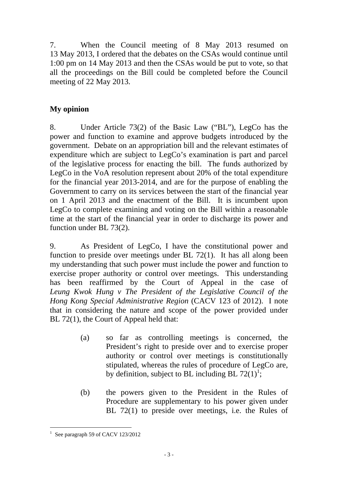7. When the Council meeting of 8 May 2013 resumed on 13 May 2013, I ordered that the debates on the CSAs would continue until 1:00 pm on 14 May 2013 and then the CSAs would be put to vote, so that all the proceedings on the Bill could be completed before the Council meeting of 22 May 2013.

## **My opinion**

8. Under Article 73(2) of the Basic Law ("BL"), LegCo has the power and function to examine and approve budgets introduced by the government. Debate on an appropriation bill and the relevant estimates of expenditure which are subject to LegCo's examination is part and parcel of the legislative process for enacting the bill. The funds authorized by LegCo in the VoA resolution represent about 20% of the total expenditure for the financial year 2013-2014, and are for the purpose of enabling the Government to carry on its services between the start of the financial year on 1 April 2013 and the enactment of the Bill. It is incumbent upon LegCo to complete examining and voting on the Bill within a reasonable time at the start of the financial year in order to discharge its power and function under BL 73(2).

9. As President of LegCo, I have the constitutional power and function to preside over meetings under BL 72(1). It has all along been my understanding that such power must include the power and function to exercise proper authority or control over meetings. This understanding has been reaffirmed by the Court of Appeal in the case of *Leung Kwok Hung v The President of the Legislative Council of the Hong Kong Special Administrative Region* (CACV 123 of 2012). I note that in considering the nature and scope of the power provided under BL 72(1), the Court of Appeal held that:

- (a) so far as controlling meetings is concerned, the President's right to preside over and to exercise proper authority or control over meetings is constitutionally stipulated, whereas the rules of procedure of LegCo are, by definition, subject to BL including BL  $72(1)^1$ ;
- (b) the powers given to the President in the Rules of Procedure are supplementary to his power given under BL 72(1) to preside over meetings, i.e. the Rules of

 $\overline{a}$ 1 See paragraph 59 of CACV 123/2012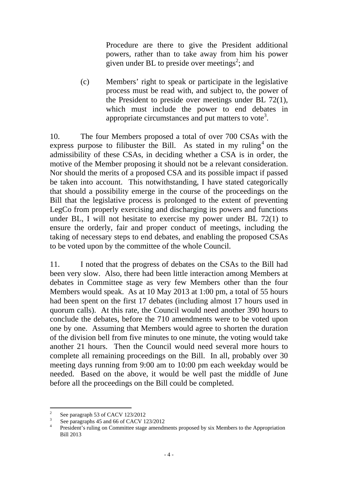Procedure are there to give the President additional powers, rather than to take away from him his power given under BL to preside over meetings<sup>2</sup>; and

 (c) Members' right to speak or participate in the legislative process must be read with, and subject to, the power of the President to preside over meetings under BL 72(1), which must include the power to end debates in appropriate circumstances and put matters to vote<sup>3</sup>.

10. The four Members proposed a total of over 700 CSAs with the express purpose to filibuster the Bill. As stated in my ruling<sup>4</sup> on the admissibility of these CSAs, in deciding whether a CSA is in order, the motive of the Member proposing it should not be a relevant consideration. Nor should the merits of a proposed CSA and its possible impact if passed be taken into account. This notwithstanding, I have stated categorically that should a possibility emerge in the course of the proceedings on the Bill that the legislative process is prolonged to the extent of preventing LegCo from properly exercising and discharging its powers and functions under BL, I will not hesitate to exercise my power under BL 72(1) to ensure the orderly, fair and proper conduct of meetings, including the taking of necessary steps to end debates, and enabling the proposed CSAs to be voted upon by the committee of the whole Council.

11. I noted that the progress of debates on the CSAs to the Bill had been very slow. Also, there had been little interaction among Members at debates in Committee stage as very few Members other than the four Members would speak. As at 10 May 2013 at 1:00 pm, a total of 55 hours had been spent on the first 17 debates (including almost 17 hours used in quorum calls). At this rate, the Council would need another 390 hours to conclude the debates, before the 710 amendments were to be voted upon one by one. Assuming that Members would agree to shorten the duration of the division bell from five minutes to one minute, the voting would take another 21 hours. Then the Council would need several more hours to complete all remaining proceedings on the Bill. In all, probably over 30 meeting days running from 9:00 am to 10:00 pm each weekday would be needed. Based on the above, it would be well past the middle of June before all the proceedings on the Bill could be completed.

 $\frac{1}{2}$ See paragraph 53 of CACV 123/2012

<sup>3</sup> See paragraphs 45 and 66 of CACV 123/2012

<sup>4</sup> President's ruling on Committee stage amendments proposed by six Members to the Appropriation Bill 2013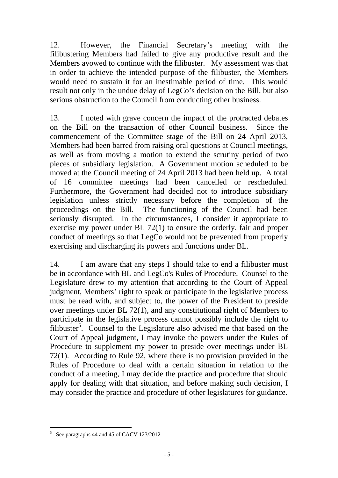12. However, the Financial Secretary's meeting with the filibustering Members had failed to give any productive result and the Members avowed to continue with the filibuster. My assessment was that in order to achieve the intended purpose of the filibuster, the Members would need to sustain it for an inestimable period of time. This would result not only in the undue delay of LegCo's decision on the Bill, but also serious obstruction to the Council from conducting other business.

13. I noted with grave concern the impact of the protracted debates on the Bill on the transaction of other Council business. Since the commencement of the Committee stage of the Bill on 24 April 2013, Members had been barred from raising oral questions at Council meetings, as well as from moving a motion to extend the scrutiny period of two pieces of subsidiary legislation. A Government motion scheduled to be moved at the Council meeting of 24 April 2013 had been held up. A total of 16 committee meetings had been cancelled or rescheduled. Furthermore, the Government had decided not to introduce subsidiary legislation unless strictly necessary before the completion of the proceedings on the Bill. The functioning of the Council had been seriously disrupted. In the circumstances, I consider it appropriate to exercise my power under BL 72(1) to ensure the orderly, fair and proper conduct of meetings so that LegCo would not be prevented from properly exercising and discharging its powers and functions under BL.

14. I am aware that any steps I should take to end a filibuster must be in accordance with BL and LegCo's Rules of Procedure. Counsel to the Legislature drew to my attention that according to the Court of Appeal judgment, Members' right to speak or participate in the legislative process must be read with, and subject to, the power of the President to preside over meetings under BL 72(1), and any constitutional right of Members to participate in the legislative process cannot possibly include the right to  $\overline{\text{filibuster}}^5$ . Counsel to the Legislature also advised me that based on the Court of Appeal judgment, I may invoke the powers under the Rules of Procedure to supplement my power to preside over meetings under BL 72(1). According to Rule 92, where there is no provision provided in the Rules of Procedure to deal with a certain situation in relation to the conduct of a meeting, I may decide the practice and procedure that should apply for dealing with that situation, and before making such decision, I may consider the practice and procedure of other legislatures for guidance.

 $\frac{1}{5}$ See paragraphs 44 and 45 of CACV 123/2012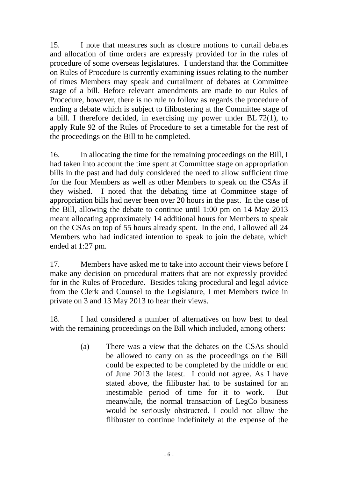15. I note that measures such as closure motions to curtail debates and allocation of time orders are expressly provided for in the rules of procedure of some overseas legislatures. I understand that the Committee on Rules of Procedure is currently examining issues relating to the number of times Members may speak and curtailment of debates at Committee stage of a bill. Before relevant amendments are made to our Rules of Procedure, however, there is no rule to follow as regards the procedure of ending a debate which is subject to filibustering at the Committee stage of a bill. I therefore decided, in exercising my power under BL 72(1), to apply Rule 92 of the Rules of Procedure to set a timetable for the rest of the proceedings on the Bill to be completed.

16. In allocating the time for the remaining proceedings on the Bill, I had taken into account the time spent at Committee stage on appropriation bills in the past and had duly considered the need to allow sufficient time for the four Members as well as other Members to speak on the CSAs if they wished. I noted that the debating time at Committee stage of appropriation bills had never been over 20 hours in the past. In the case of the Bill, allowing the debate to continue until 1:00 pm on 14 May 2013 meant allocating approximately 14 additional hours for Members to speak on the CSAs on top of 55 hours already spent. In the end, I allowed all 24 Members who had indicated intention to speak to join the debate, which ended at 1:27 pm.

17. Members have asked me to take into account their views before I make any decision on procedural matters that are not expressly provided for in the Rules of Procedure. Besides taking procedural and legal advice from the Clerk and Counsel to the Legislature, I met Members twice in private on 3 and 13 May 2013 to hear their views.

18. I had considered a number of alternatives on how best to deal with the remaining proceedings on the Bill which included, among others:

> (a) There was a view that the debates on the CSAs should be allowed to carry on as the proceedings on the Bill could be expected to be completed by the middle or end of June 2013 the latest. I could not agree. As I have stated above, the filibuster had to be sustained for an inestimable period of time for it to work. But meanwhile, the normal transaction of LegCo business would be seriously obstructed. I could not allow the filibuster to continue indefinitely at the expense of the